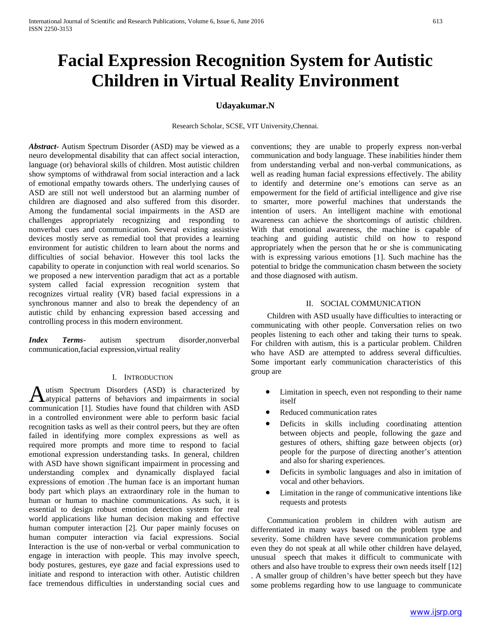# **Facial Expression Recognition System for Autistic Children in Virtual Reality Environment**

# **Udayakumar.N**

Research Scholar, SCSE, VIT University,Chennai.

*Abstract***-** Autism Spectrum Disorder (ASD) may be viewed as a neuro developmental disability that can affect social interaction, language (or) behavioral skills of children. Most autistic children show symptoms of withdrawal from social interaction and a lack of emotional empathy towards others. The underlying causes of ASD are still not well understood but an alarming number of children are diagnosed and also suffered from this disorder. Among the fundamental social impairments in the ASD are challenges appropriately recognizing and responding to nonverbal cues and communication. Several existing assistive devices mostly serve as remedial tool that provides a learning environment for autistic children to learn about the norms and difficulties of social behavior. However this tool lacks the capability to operate in conjunction with real world scenarios. So we proposed a new intervention paradigm that act as a portable system called facial expression recognition system that recognizes virtual reality (VR) based facial expressions in a synchronous manner and also to break the dependency of an autistic child by enhancing expression based accessing and controlling process in this modern environment.

*Index Terms*- autism spectrum disorder,nonverbal communication,facial expression,virtual reality

## I. INTRODUCTION

utism Spectrum Disorders (ASD) is characterized by Autism Spectrum Disorders (ASD) is characterized by<br>Aatypical patterns of behaviors and impairments in social communication [1]. Studies have found that children with ASD in a controlled environment were able to perform basic facial recognition tasks as well as their control peers, but they are often failed in identifying more complex expressions as well as required more prompts and more time to respond to facial emotional expression understanding tasks. In general, children with ASD have shown significant impairment in processing and understanding complex and dynamically displayed facial expressions of emotion .The human face is an important human body part which plays an extraordinary role in the human to human or human to machine communications. As such, it is essential to design robust emotion detection system for real world applications like human decision making and effective human computer interaction [2]. Our paper mainly focuses on human computer interaction via facial expressions. Social Interaction is the use of non-verbal or verbal communication to engage in interaction with people. This may involve speech, body postures, gestures, eye gaze and facial expressions used to initiate and respond to interaction with other. Autistic children face tremendous difficulties in understanding social cues and

conventions; they are unable to properly express non-verbal communication and body language. These inabilities hinder them from understanding verbal and non-verbal communications, as well as reading human facial expressions effectively. The ability to identify and determine one's emotions can serve as an empowerment for the field of artificial intelligence and give rise to smarter, more powerful machines that understands the intention of users. An intelligent machine with emotional awareness can achieve the shortcomings of autistic children. With that emotional awareness, the machine is capable of teaching and guiding autistic child on how to respond appropriately when the person that he or she is communicating with is expressing various emotions [1]. Such machine has the potential to bridge the communication chasm between the society and those diagnosed with autism.

# II. SOCIAL COMMUNICATION

 Children with ASD usually have difficulties to interacting or communicating with other people. Conversation relies on two peoples listening to each other and taking their turns to speak. For children with autism, this is a particular problem. Children who have ASD are attempted to address several difficulties. Some important early communication characteristics of this group are

- Limitation in speech, even not responding to their name itself
- Reduced communication rates
- Deficits in skills including coordinating attention between objects and people, following the gaze and gestures of others, shifting gaze between objects (or) people for the purpose of directing another's attention and also for sharing experiences.
- Deficits in symbolic languages and also in imitation of vocal and other behaviors.
- Limitation in the range of communicative intentions like requests and protests

 Communication problem in children with autism are differentiated in many ways based on the problem type and severity. Some children have severe communication problems even they do not speak at all while other children have delayed, unusual speech that makes it difficult to communicate with others and also have trouble to express their own needs itself [12] . A smaller group of children's have better speech but they have some problems regarding how to use language to communicate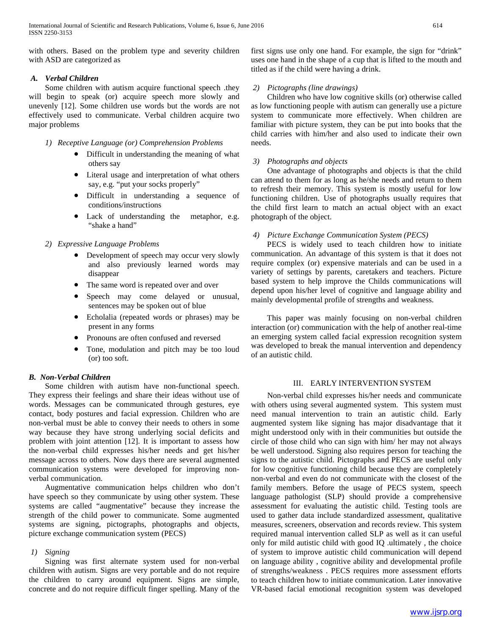with others. Based on the problem type and severity children with ASD are categorized as

# *A. Verbal Children*

 Some children with autism acquire functional speech .they will begin to speak (or) acquire speech more slowly and unevenly [12]. Some children use words but the words are not effectively used to communicate. Verbal children acquire two major problems

*1) Receptive Language (or) Comprehension Problems*

- Difficult in understanding the meaning of what others say
- Literal usage and interpretation of what others say, e.g. "put your socks properly"
- Difficult in understanding a sequence of conditions/instructions
- Lack of understanding the metaphor, e.g. "shake a hand"

# *2) Expressive Language Problems*

- Development of speech may occur very slowly and also previously learned words may disappear
- The same word is repeated over and over
- Speech may come delayed or unusual, sentences may be spoken out of blue
- Echolalia (repeated words or phrases) may be present in any forms
- Pronouns are often confused and reversed
- Tone, modulation and pitch may be too loud (or) too soft.

# *B. Non-Verbal Children*

 Some children with autism have non-functional speech. They express their feelings and share their ideas without use of words. Messages can be communicated through gestures, eye contact, body postures and facial expression. Children who are non-verbal must be able to convey their needs to others in some way because they have strong underlying social deficits and problem with joint attention [12]. It is important to assess how the non-verbal child expresses his/her needs and get his/her message across to others. Now days there are several augmented communication systems were developed for improving nonverbal communication.

 Augmentative communication helps children who don't have speech so they communicate by using other system. These systems are called "augmentative" because they increase the strength of the child power to communicate. Some augmented systems are signing, pictographs, photographs and objects, picture exchange communication system (PECS)

# *1) Signing*

 Signing was first alternate system used for non-verbal children with autism. Signs are very portable and do not require the children to carry around equipment. Signs are simple, concrete and do not require difficult finger spelling. Many of the

first signs use only one hand. For example, the sign for "drink" uses one hand in the shape of a cup that is lifted to the mouth and titled as if the child were having a drink.

# *2) Pictographs (line drawings)*

 Children who have low cognitive skills (or) otherwise called as low functioning people with autism can generally use a picture system to communicate more effectively. When children are familiar with picture system, they can be put into books that the child carries with him/her and also used to indicate their own needs.

## *3) Photographs and objects*

 One advantage of photographs and objects is that the child can attend to them for as long as he/she needs and return to them to refresh their memory. This system is mostly useful for low functioning children. Use of photographs usually requires that the child first learn to match an actual object with an exact photograph of the object.

# *4) Picture Exchange Communication System (PECS)*

 PECS is widely used to teach children how to initiate communication. An advantage of this system is that it does not require complex (or) expensive materials and can be used in a variety of settings by parents, caretakers and teachers. Picture based system to help improve the Childs communications will depend upon his/her level of cognitive and language ability and mainly developmental profile of strengths and weakness.

 This paper was mainly focusing on non-verbal children interaction (or) communication with the help of another real-time an emerging system called facial expression recognition system was developed to break the manual intervention and dependency of an autistic child.

# III. EARLY INTERVENTION SYSTEM

 Non-verbal child expresses his/her needs and communicate with others using several augmented system. This system must need manual intervention to train an autistic child. Early augmented system like signing has major disadvantage that it might understood only with in their communities but outside the circle of those child who can sign with him/ her may not always be well understood. Signing also requires person for teaching the signs to the autistic child. Pictographs and PECS are useful only for low cognitive functioning child because they are completely non-verbal and even do not communicate with the closest of the family members. Before the usage of PECS system, speech language pathologist (SLP) should provide a comprehensive assessment for evaluating the autistic child. Testing tools are used to gather data include standardized assessment, qualitative measures, screeners, observation and records review. This system required manual intervention called SLP as well as it can useful only for mild autistic child with good IQ .ultimately , the choice of system to improve autistic child communication will depend on language ability , cognitive ability and developmental profile of strengths/weakness . PECS requires more assessment efforts to teach children how to initiate communication. Later innovative VR-based facial emotional recognition system was developed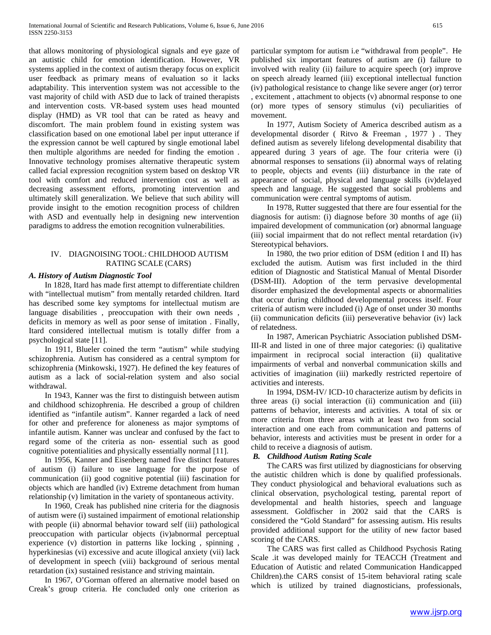that allows monitoring of physiological signals and eye gaze of an autistic child for emotion identification. However, VR systems applied in the context of autism therapy focus on explicit user feedback as primary means of evaluation so it lacks adaptability. This intervention system was not accessible to the vast majority of child with ASD due to lack of trained therapists and intervention costs. VR-based system uses head mounted display (HMD) as VR tool that can be rated as heavy and discomfort. The main problem found in existing system was classification based on one emotional label per input utterance if the expression cannot be well captured by single emotional label then multiple algorithms are needed for finding the emotion . Innovative technology promises alternative therapeutic system called facial expression recognition system based on desktop VR tool with comfort and reduced intervention cost as well as decreasing assessment efforts, promoting intervention and ultimately skill generalization. We believe that such ability will provide insight to the emotion recognition process of children with ASD and eventually help in designing new intervention paradigms to address the emotion recognition vulnerabilities.

# IV. DIAGNOISING TOOL: CHILDHOOD AUTISM RATING SCALE (CARS)

# *A. History of Autism Diagnostic Tool*

 In 1828, Itard has made first attempt to differentiate children with "intellectual mutism" from mentally retarded children. Itard has described some key symptoms for intellectual mutism are language disabilities , preoccupation with their own needs , deficits in memory as well as poor sense of imitation . Finally, Itard considered intellectual mutism is totally differ from a psychological state [11].

 In 1911, Blueler coined the term "autism" while studying schizophrenia. Autism has considered as a central symptom for schizophrenia (Minkowski, 1927). He defined the key features of autism as a lack of social-relation system and also social withdrawal.

 In 1943, Kanner was the first to distinguish between autism and childhood schizophrenia. He described a group of children identified as "infantile autism". Kanner regarded a lack of need for other and preference for aloneness as major symptoms of infantile autism. Kanner was unclear and confused by the fact to regard some of the criteria as non- essential such as good cognitive potentialities and physically essentially normal [11].

 In 1956, Kanner and Eisenberg named five distinct features of autism (i) failure to use language for the purpose of communication (ii) good cognitive potential (iii) fascination for objects which are handled (iv) Extreme detachment from human relationship (v) limitation in the variety of spontaneous activity.

 In 1960, Creak has published nine criteria for the diagnosis of autism were (i) sustained impairment of emotional relationship with people (ii) abnormal behavior toward self (iii) pathological preoccupation with particular objects (iv)abnormal perceptual experience (v) distortion in patterns like locking , spinning , hyperkinesias (vi) excessive and acute illogical anxiety (vii) lack of development in speech (viii) background of serious mental retardation (ix) sustained resistance and striving maintain.

 In 1967, O'Gorman offered an alternative model based on Creak's group criteria. He concluded only one criterion as

particular symptom for autism i.e "withdrawal from people". He published six important features of autism are (i) failure to involved with reality (ii) failure to acquire speech (or) improve on speech already learned (iii) exceptional intellectual function (iv) pathological resistance to change like severe anger (or) terror , excitement , attachment to objects (v) abnormal response to one (or) more types of sensory stimulus (vi) peculiarities of movement.

 In 1977, Autism Society of America described autism as a developmental disorder ( Ritvo & Freeman , 1977 ) . They defined autism as severely lifelong developmental disability that appeared during 3 years of age. The four criteria were (i) abnormal responses to sensations (ii) abnormal ways of relating to people, objects and events (iii) disturbance in the rate of appearance of social, physical and language skills (iv)delayed speech and language. He suggested that social problems and communication were central symptoms of autism.

 In 1978, Rutter suggested that there are four essential for the diagnosis for autism: (i) diagnose before 30 months of age (ii) impaired development of communication (or) abnormal language (iii) social impairment that do not reflect mental retardation (iv) Stereotypical behaviors.

 In 1980, the two prior edition of DSM (edition I and II) has excluded the autism. Autism was first included in the third edition of Diagnostic and Statistical Manual of Mental Disorder (DSM-III). Adoption of the term pervasive developmental disorder emphasized the developmental aspects or abnormalities that occur during childhood developmental process itself. Four criteria of autism were included (i) Age of onset under 30 months (ii) communication deficits (iii) perseverative behavior (iv) lack of relatedness.

 In 1987, American Psychiatric Association published DSM-III-R and listed in one of three major categories: (i) qualitative impairment in reciprocal social interaction (ii) qualitative impairments of verbal and nonverbal communication skills and activities of imagination (iii) markedly restricted repertoire of activities and interests.

 In 1994, DSM-IV/ ICD-10 characterize autism by deficits in three areas (i) social interaction (ii) communication and (iii) patterns of behavior, interests and activities. A total of six or more criteria from three areas with at least two from social interaction and one each from communication and patterns of behavior, interests and activities must be present in order for a child to receive a diagnosis of autism.

# *B. Childhood Autism Rating Scale*

 The CARS was first utilized by diagnosticians for observing the autistic children which is done by qualified professionals. They conduct physiological and behavioral evaluations such as clinical observation, psychological testing, parental report of developmental and health histories, speech and language assessment. Goldfischer in 2002 said that the CARS is considered the "Gold Standard" for assessing autism. His results provided additional support for the utility of new factor based scoring of the CARS.

 The CARS was first called as Childhood Psychosis Rating Scale .it was developed mainly for TEACCH (Treatment and Education of Autistic and related Communication Handicapped Children).the CARS consist of 15-item behavioral rating scale which is utilized by trained diagnosticians, professionals,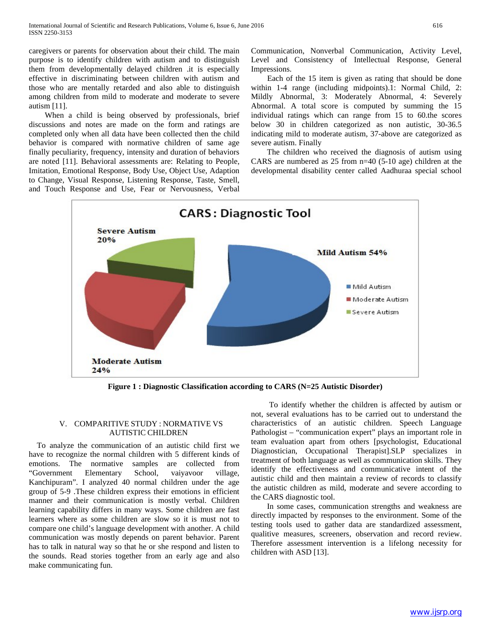caregivers or parents for observation about their child. The main purpose is to identify children with autism and to distinguish them from developmentally delayed children .it is especially effective in discriminating between children with autism and those who are mentally retarded and also able to distinguish among children from mild to moderate and moderate to severe autism [11].

 When a child is being observed by professionals, brief discussions and notes are made on the form and ratings are completed only when all data have been collected then the child behavior is compared with normative children of same age finally peculiarity, frequency, intensity and duration of behaviors are noted [11]. Behavioral assessments are: Relating to People, Imitation, Emotional Response, Body Use, Object Use, Adaption to Change, Visual Response, Listening Response, Taste, Smell, and Touch Response and Use, Fear or Nervousness, Verbal Communication, Nonverbal Communication, Activity Level, Level and Consistency of Intellectual Response, General Impressions.

 Each of the 15 item is given as rating that should be done within 1-4 range (including midpoints).1: Normal Child, 2: Mildly Abnormal, 3: Moderately Abnormal, 4: Severely Abnormal. A total score is computed by summing the 15 individual ratings which can range from 15 to 60.the scores below 30 in children categorized as non autistic, 30-36.5 indicating mild to moderate autism, 37-above are categorized as severe autism. Finally

 The children who received the diagnosis of autism using CARS are numbered as 25 from n=40 (5-10 age) children at the developmental disability center called Aadhuraa special school



**Figure 1 : Diagnostic Classification according to CARS (N=25 Autistic Disorder)**

# V. COMPARITIVE STUDY : NORMATIVE VS AUTISTIC CHILDREN

 To analyze the communication of an autistic child first we have to recognize the normal children with 5 different kinds of emotions. The normative samples are collected from "Government Elementary School, vaiyavoor village, Kanchipuram". I analyzed 40 normal children under the age group of 5-9 .These children express their emotions in efficient manner and their communication is mostly verbal. Children learning capability differs in many ways. Some children are fast learners where as some children are slow so it is must not to compare one child's language development with another. A child communication was mostly depends on parent behavior. Parent has to talk in natural way so that he or she respond and listen to the sounds. Read stories together from an early age and also make communicating fun.

 To identify whether the children is affected by autism or not, several evaluations has to be carried out to understand the characteristics of an autistic children. Speech Language Pathologist – "communication expert" plays an important role in team evaluation apart from others [psychologist, Educational Diagnostician, Occupational Therapist].SLP specializes in treatment of both language as well as communication skills. They identify the effectiveness and communicative intent of the autistic child and then maintain a review of records to classify the autistic children as mild, moderate and severe according to the CARS diagnostic tool.

 In some cases, communication strengths and weakness are directly impacted by responses to the environment. Some of the testing tools used to gather data are standardized assessment, qualitive measures, screeners, observation and record review. Therefore assessment intervention is a lifelong necessity for children with ASD [13].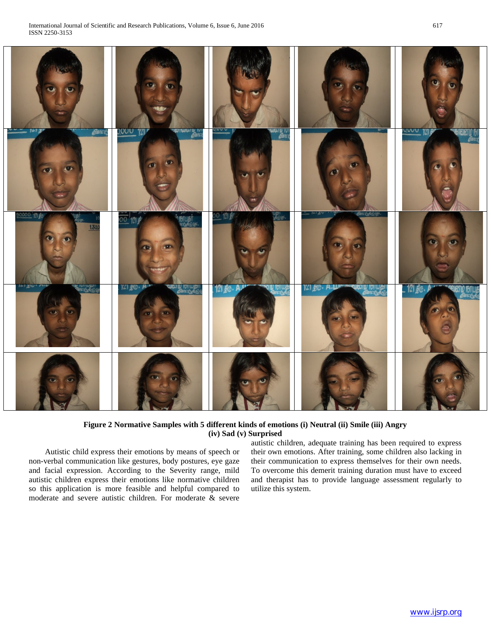| $\bullet$                                    | $\bullet$                                                                                   |                                           |                                                     |                                                  |
|----------------------------------------------|---------------------------------------------------------------------------------------------|-------------------------------------------|-----------------------------------------------------|--------------------------------------------------|
| <b>Cove</b><br>161 J<br>o<br>$\bullet$       | <u>JOUU 1217</u><br><b>BERTHERED WARDEN</b><br>$\bullet$<br>$\langle 0 \rangle$             | $\sim$ v v $\sim$<br><b>UNANTU TUT</b>    | $\bullet$                                           | <b>NOU 121 F</b><br><b>QICOTIO FFIT</b>          |
| 00000 121.60<br>TUST<br>1,30,0               | 00 121 P<br>圖<br>$\mathbf{m}$<br>$\overline{\mathbf{C}}$                                    | $0'$ 121 $\ell$<br><u>uman</u><br>1992-06 | BOLOGOOD.<br>$101$ $\chi$<br>ν                      | Ô                                                |
| ரகா தூய<br>MOLOGOO<br>$\sum_{i=1}^{n}$<br>安心 | $V1.80 \cdot M$<br><b>BLOCK DIRECTOR</b><br>$A \rightarrow B$<br>$\mathcal{L}(\mathcal{C})$ | $121,000$ . A.<br><b>QIV IDIIWO</b>       | $121,000$ . $A, U$<br><b>CLOUD ID ID IN CONTROL</b> | $-121$ GG. $\rho$<br><b>TOJETTU TETTUA</b><br>Z) |
|                                              |                                                                                             |                                           |                                                     |                                                  |

# **Figure 2 Normative Samples with 5 different kinds of emotions (i) Neutral (ii) Smile (iii) Angry (iv) Sad (v) Surprised**

 Autistic child express their emotions by means of speech or non-verbal communication like gestures, body postures, eye gaze and facial expression. According to the Severity range, mild autistic children express their emotions like normative children so this application is more feasible and helpful compared to moderate and severe autistic children. For moderate & severe

autistic children, adequate training has been required to express their own emotions. After training, some children also lacking in their communication to express themselves for their own needs. To overcome this demerit training duration must have to exceed and therapist has to provide language assessment regularly to utilize this system.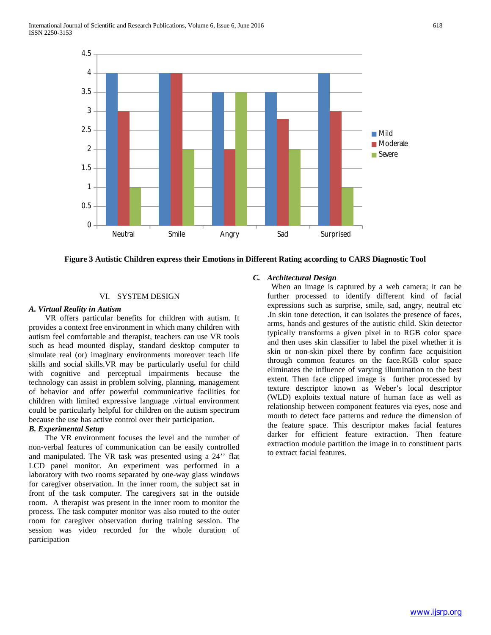

**Figure 3 Autistic Children express their Emotions in Different Rating according to CARS Diagnostic Tool**

# VI. SYSTEM DESIGN

## *A. Virtual Reality in Autism*

 VR offers particular benefits for children with autism. It provides a context free environment in which many children with autism feel comfortable and therapist, teachers can use VR tools such as head mounted display, standard desktop computer to simulate real (or) imaginary environments moreover teach life skills and social skills.VR may be particularly useful for child with cognitive and perceptual impairments because the technology can assist in problem solving, planning, management of behavior and offer powerful communicative facilities for children with limited expressive language .virtual environment could be particularly helpful for children on the autism spectrum because the use has active control over their participation.

# *B. Experimental Setup*

 The VR environment focuses the level and the number of non-verbal features of communication can be easily controlled and manipulated. The VR task was presented using a 24'' flat LCD panel monitor. An experiment was performed in a laboratory with two rooms separated by one-way glass windows for caregiver observation. In the inner room, the subject sat in front of the task computer. The caregivers sat in the outside room. A therapist was present in the inner room to monitor the process. The task computer monitor was also routed to the outer room for caregiver observation during training session. The session was video recorded for the whole duration of participation

# *C. Architectural Design*

 When an image is captured by a web camera; it can be further processed to identify different kind of facial expressions such as surprise, smile, sad, angry, neutral etc .In skin tone detection, it can isolates the presence of faces, arms, hands and gestures of the autistic child. Skin detector typically transforms a given pixel in to RGB color space and then uses skin classifier to label the pixel whether it is skin or non-skin pixel there by confirm face acquisition through common features on the face.RGB color space eliminates the influence of varying illumination to the best extent. Then face clipped image is further processed by texture descriptor known as Weber's local descriptor (WLD) exploits textual nature of human face as well as relationship between component features via eyes, nose and mouth to detect face patterns and reduce the dimension of the feature space. This descriptor makes facial features darker for efficient feature extraction. Then feature extraction module partition the image in to constituent parts to extract facial features.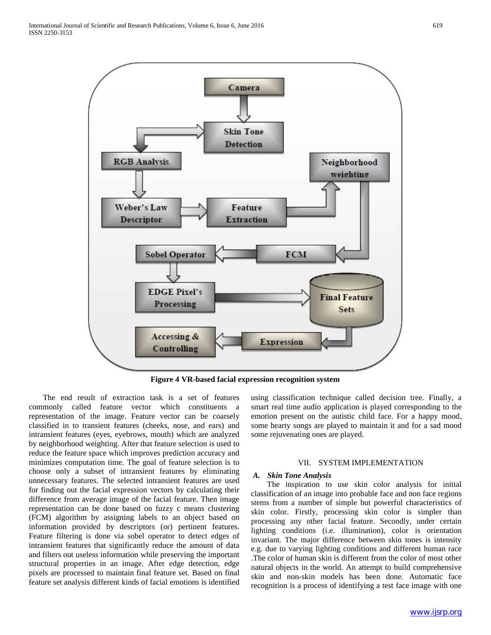

**Figure 4 VR-based facial expression recognition system**

 The end result of extraction task is a set of features commonly called feature vector which constituents a representation of the image. Feature vector can be coarsely classified in to transient features (cheeks, nose, and ears) and intransient features (eyes, eyebrows, mouth) which are analyzed by neighborhood weighting. After that feature selection is used to reduce the feature space which improves prediction accuracy and minimizes computation time. The goal of feature selection is to choose only a subset of intransient features by eliminating unnecessary features. The selected intransient features are used for finding out the facial expression vectors by calculating their difference from average image of the facial feature. Then image representation can be done based on fuzzy c means clustering (FCM) algorithm by assigning labels to an object based on information provided by descriptors (or) pertinent features. Feature filtering is done via sobel operator to detect edges of intransient features that significantly reduce the amount of data and filters out useless information while preserving the important structural properties in an image. After edge detection, edge pixels are processed to maintain final feature set. Based on final feature set analysis different kinds of facial emotions is identified

using classification technique called decision tree. Finally, a smart real time audio application is played corresponding to the emotion present on the autistic child face. For a happy mood, some hearty songs are played to maintain it and for a sad mood some rejuvenating ones are played.

## VII. SYSTEM IMPLEMENTATION

#### *A. Skin Tone Analysis*

 The inspiration to use skin color analysis for initial classification of an image into probable face and non face regions stems from a number of simple but powerful characteristics of skin color. Firstly, processing skin color is simpler than processing any other facial feature. Secondly, under certain lighting conditions (i.e. illumination), color is orientation invariant. The major difference between skin tones is intensity e.g. due to varying lighting conditions and different human race .The color of human skin is different from the color of most other natural objects in the world. An attempt to build comprehensive skin and non-skin models has been done. Automatic face recognition is a process of identifying a test face image with one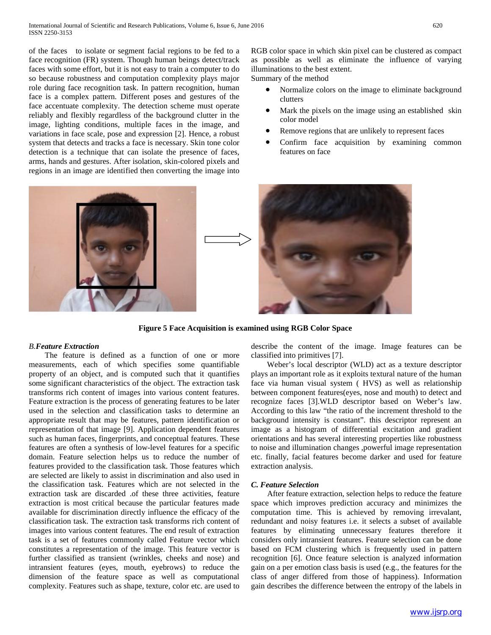of the faces to isolate or segment facial regions to be fed to a face recognition (FR) system. Though human beings detect/track faces with some effort, but it is not easy to train a computer to do so because robustness and computation complexity plays major role during face recognition task. In pattern recognition, human face is a complex pattern. Different poses and gestures of the face accentuate complexity. The detection scheme must operate reliably and flexibly regardless of the background clutter in the image, lighting conditions, multiple faces in the image, and variations in face scale, pose and expression [2]. Hence, a robust system that detects and tracks a face is necessary. Skin tone color detection is a technique that can isolate the presence of faces, arms, hands and gestures. After isolation, skin-colored pixels and regions in an image are identified then converting the image into RGB color space in which skin pixel can be clustered as compact as possible as well as eliminate the influence of varying illuminations to the best extent. Summary of the method

- Normalize colors on the image to eliminate background clutters
- Mark the pixels on the image using an established skin color model
- Remove regions that are unlikely to represent faces
- Confirm face acquisition by examining common features on face



**Figure 5 Face Acquisition is examined using RGB Color Space**

# *B.Feature Extraction*

 The feature is defined as a function of one or more measurements, each of which specifies some quantifiable property of an object, and is computed such that it quantifies some significant characteristics of the object. The extraction task transforms rich content of images into various content features. Feature extraction is the process of generating features to be later used in the selection and classification tasks to determine an appropriate result that may be features, pattern identification or representation of that image [9]. Application dependent features such as human faces, fingerprints, and conceptual features. These features are often a synthesis of low-level features for a specific domain. Feature selection helps us to reduce the number of features provided to the classification task. Those features which are selected are likely to assist in discrimination and also used in the classification task. Features which are not selected in the extraction task are discarded .of these three activities, feature extraction is most critical because the particular features made available for discrimination directly influence the efficacy of the classification task. The extraction task transforms rich content of images into various content features. The end result of extraction task is a set of features commonly called Feature vector which constitutes a representation of the image. This feature vector is further classified as transient (wrinkles, cheeks and nose) and intransient features (eyes, mouth, eyebrows) to reduce the dimension of the feature space as well as computational complexity. Features such as shape, texture, color etc. are used to describe the content of the image. Image features can be classified into primitives [7].

 Weber's local descriptor (WLD) act as a texture descriptor plays an important role as it exploits textural nature of the human face via human visual system ( HVS) as well as relationship between component features(eyes, nose and mouth) to detect and recognize faces [3].WLD descriptor based on Weber's law. According to this law "the ratio of the increment threshold to the background intensity is constant". this descriptor represent an image as a histogram of differential excitation and gradient orientations and has several interesting properties like robustness to noise and illumination changes ,powerful image representation etc. finally, facial features become darker and used for feature extraction analysis.

## *C. Feature Selection*

 After feature extraction, selection helps to reduce the feature space which improves prediction accuracy and minimizes the computation time. This is achieved by removing irrevalant, redundant and noisy features i.e. it selects a subset of available features by eliminating unnecessary features therefore it considers only intransient features. Feature selection can be done based on FCM clustering which is frequently used in pattern recognition [6]. Once feature selection is analyzed information gain on a per emotion class basis is used (e.g., the features for the class of anger differed from those of happiness). Information gain describes the difference between the entropy of the labels in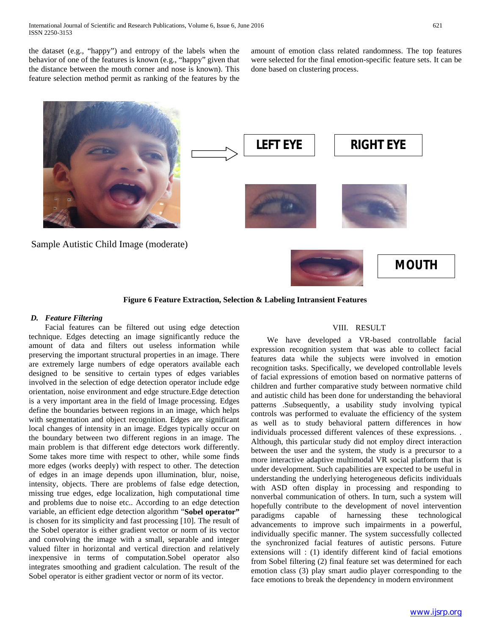the dataset (e.g., "happy") and entropy of the labels when the behavior of one of the features is known (e.g., "happy" given that the distance between the mouth corner and nose is known). This feature selection method permit as ranking of the features by the

amount of emotion class related randomness. The top features were selected for the final emotion-specific feature sets. It can be done based on clustering process.



## **Figure 6 Feature Extraction, Selection & Labeling Intransient Features**

## *D. Feature Filtering*

 Facial features can be filtered out using edge detection technique. Edges detecting an image significantly reduce the amount of data and filters out useless information while preserving the important structural properties in an image. There are extremely large numbers of edge operators available each designed to be sensitive to certain types of edges variables involved in the selection of edge detection operator include edge orientation, noise environment and edge structure.Edge detection is a very important area in the field of Image processing. Edges define the boundaries between regions in an image, which helps with segmentation and object recognition. Edges are significant local changes of intensity in an image. Edges typically occur on the boundary between two different regions in an image. The main problem is that different edge detectors work differently. Some takes more time with respect to other, while some finds more edges (works deeply) with respect to other. The detection of edges in an image depends upon illumination, blur, noise, intensity, objects. There are problems of false edge detection, missing true edges, edge localization, high computational time and problems due to noise etc.. According to an edge detection variable, an efficient edge detection algorithm "**Sobel operator"** is chosen for its simplicity and fast processing [10]. The result of the Sobel operator is either gradient vector or norm of its vector and convolving the image with a small, separable and integer valued filter in horizontal and vertical direction and relatively inexpensive in terms of computation.Sobel operator also integrates smoothing and gradient calculation. The result of the Sobel operator is either gradient vector or norm of its vector.

# VIII. RESULT

 We have developed a VR-based controllable facial expression recognition system that was able to collect facial features data while the subjects were involved in emotion recognition tasks. Specifically, we developed controllable levels of facial expressions of emotion based on normative patterns of children and further comparative study between normative child and autistic child has been done for understanding the behavioral patterns .Subsequently, a usability study involving typical controls was performed to evaluate the efficiency of the system as well as to study behavioral pattern differences in how individuals processed different valences of these expressions. . Although, this particular study did not employ direct interaction between the user and the system, the study is a precursor to a more interactive adaptive multimodal VR social platform that is under development. Such capabilities are expected to be useful in understanding the underlying heterogeneous deficits individuals with ASD often display in processing and responding to nonverbal communication of others. In turn, such a system will hopefully contribute to the development of novel intervention paradigms capable of harnessing these technological advancements to improve such impairments in a powerful, individually specific manner. The system successfully collected the synchronized facial features of autistic persons. Future extensions will : (1) identify different kind of facial emotions from Sobel filtering (2) final feature set was determined for each emotion class (3) play smart audio player corresponding to the face emotions to break the dependency in modern environment